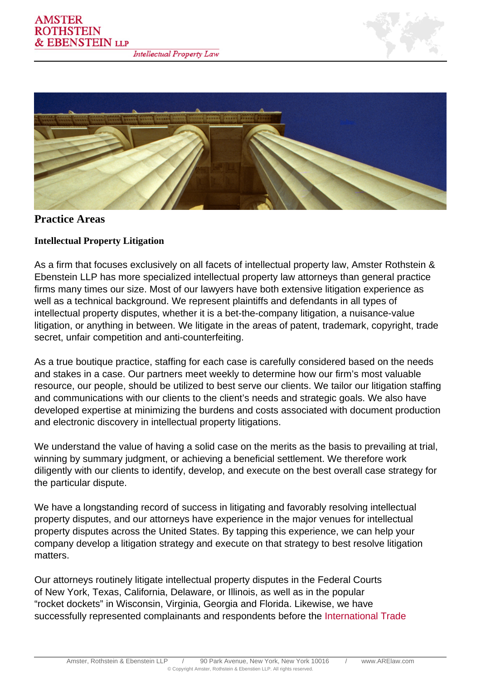



# **Practice Areas**

## **Intellectual Property Litigation**

As a firm that focuses exclusively on all facets of intellectual property law, Amster Rothstein & Ebenstein LLP has more specialized intellectual property law attorneys than general practice firms many times our size. Most of our lawyers have both extensive litigation experience as well as a technical background. We represent plaintiffs and defendants in all types of intellectual property disputes, whether it is a bet-the-company litigation, a nuisance-value litigation, or anything in between. We litigate in the areas of patent, trademark, copyright, trade secret, unfair competition and anti-counterfeiting.

As a true boutique practice, staffing for each case is carefully considered based on the needs and stakes in a case. Our partners meet weekly to determine how our firm's most valuable resource, our people, should be utilized to best serve our clients. We tailor our litigation staffing and communications with our clients to the client's needs and strategic goals. We also have developed expertise at minimizing the burdens and costs associated with document production and electronic discovery in intellectual property litigations.

We understand the value of having a solid case on the merits as the basis to prevailing at trial, winning by summary judgment, or achieving a beneficial settlement. We therefore work diligently with our clients to identify, develop, and execute on the best overall case strategy for the particular dispute.

We have a longstanding record of success in litigating and favorably resolving intellectual property disputes, and our attorneys have experience in the major venues for intellectual property disputes across the United States. By tapping this experience, we can help your company develop a litigation strategy and execute on that strategy to best resolve litigation matters.

Our attorneys routinely litigate intellectual property disputes in the Federal Courts of New York, Texas, California, Delaware, or Illinois, as well as in the popular "rocket dockets" in Wisconsin, Virginia, Georgia and Florida. Likewise, we have successfully represented complainants and respondents before the [International Trade](/practice/itc.html)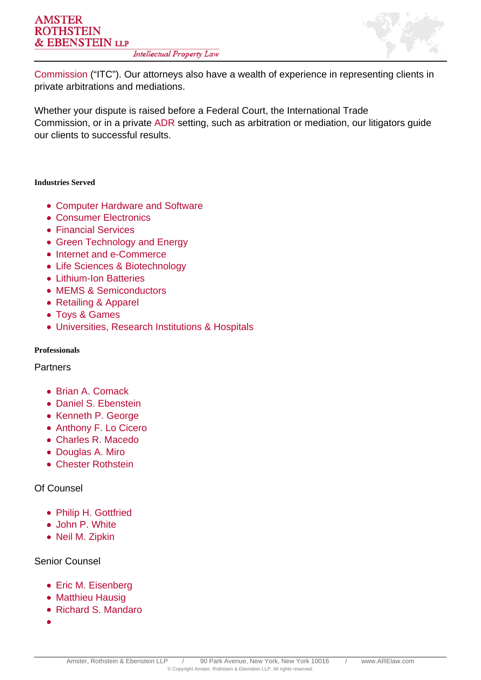

[Commission](/practice/itc.html) ("ITC"). Our attorneys also have a wealth of experience in representing clients in private arbitrations and mediations.

Whether your dispute is raised before a Federal Court, the International Trade Commission, or in a private ADR setting, such as arbitration or mediation, our litigators guide our clients to successful results.

#### **Industries Served**

- Computer Hardware and Software
- Consumer Electronics
- Financial Services
- Green Technology and Energy
- Internet and e-Commerce
- Life Sciences & Biotechnology
- Lithium-Ion Batteries
- MEMS & Semiconductors
- Retailing & Apparel
- Toys & Games
- Universities, Research Institutions & Hospitals

#### **Professionals**

**Partners** 

- Brian A. Comack
- Daniel S. Ebenstein
- Kenneth P. George
- Anthony F. Lo Cicero
- Charles R. Macedo
- Douglas A. Miro
- Chester Rothstein

## Of Counsel

- Philip H. Gottfried
- John P. White
- Neil M. Zipkin

### Senior Counsel

- Eric M. Eisenberg
- Matthieu Hausig
- Richard S. Mandaro
-